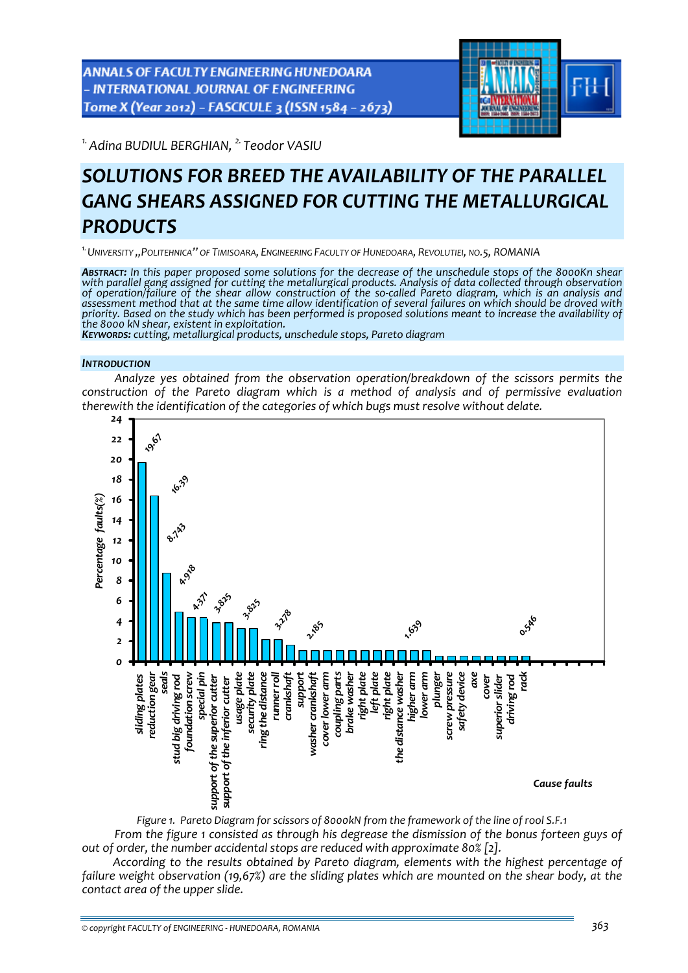**ANNALS OF FACULTY ENGINEERING HUNEDOARA INTERNATIONAL JOURNAL OF ENGINEERING** Tome X (Year 2012) - FASCICULE 3 (ISSN 1584 - 2673)



*1.Adina BUDIUL BERGHIAN, 2. Teodor VASIU* 

# *SOLUTIONS FOR BREED THE AVAILABILITY OF THE PARALLEL GANG SHEARS ASSIGNED FOR CUTTING THE METALLURGICAL PRODUCTS*

*1.UNIVERSITY ',POLITEHNICA'' OF TIMISOARA, ENGINEERING FACULTY OF HUNEDOARA, REVOLUTIEI, NO.5, ROMANIA*

ABSTRACT: In this paper proposed some solutions for the decrease of the unschedule stops of the 8000Kn shear *with parallel gang assigned for cutting the metallurgical products. Analysis of data collected through observation* of operation/failure of the shear allow construction of the so-called Pareto diagram, which is an analysis and assessment method that at the same time allow identification of several failures on which should be droved with priority. Based on the study which has been performed is proposed solutions meant to increase the availability of<br>the 8000 kN shear, existent in exploitation.<br>Keyworps: cutting, metallurgical products, unschedule stops, Pa

#### *INTRODUCTION*

*Analyze yes obtained from the observation operation/breakdown of the scissors permits the construction of the Pareto diagram which is a method of analysis and of permissive evaluation therewith the identification of the categories of which bugs must resolve without delate.* 



*Figure 1. Pareto Diagram for scissors of 8000kN from the framework of the line of rool S.F.1 From the figure 1 consisted as through his degrease the dismission of the bonus forteen guys of out of order, the number accidental stops are reduced with approximate 80% [2].*

*According to the results obtained by Pareto diagram, elements with the highest percentage of failure weight observation (19,67%) are the sliding plates which are mounted on the shear body, at the contact area of the upper slide.*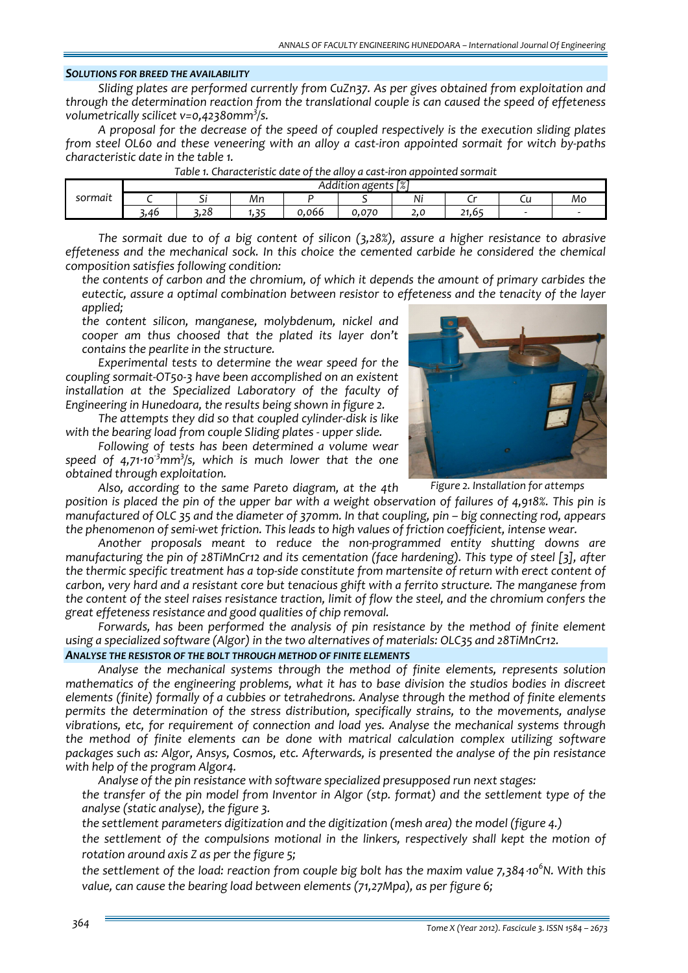## *SOLUTIONS FOR BREED THE AVAILABILITY*

*Sliding plates are performed currently from CuZn37. As per gives obtained from exploitation and through the determination reaction from the translational couple is can caused the speed of effeteness volumetrically scilicet v=0,42380mm3 /s.*

*A proposal for the decrease of the speed of coupled respectively is the execution sliding plates* from steel OL60 and these veneering with an alloy a cast-iron appointed sormait for witch by-paths *characteristic date in the table 1.*

|                | Гo/'<br>agents<br>dition<br>$\sqrt{2}$ |                               |      |                                 |                   |      |             |                          |    |  |
|----------------|----------------------------------------|-------------------------------|------|---------------------------------|-------------------|------|-------------|--------------------------|----|--|
| . .<br>sormait |                                        | $\overline{\phantom{a}}$<br>╯ | Мn   |                                 |                   | Ni   |             | ๛                        | Mo |  |
|                | .46                                    | <u>ີ</u><br>6.ZO              | $ -$ | 066<br>$\overline{\phantom{0}}$ | 070<br><b>v.v</b> | 2. J | 54<br>21.65 | $\overline{\phantom{a}}$ |    |  |

*The sormait due to of a big content of silicon (3,28%), assure a higher resistance to abrasive effeteness and the mechanical sock. In this choice the cemented carbide he considered the chemical composition satisfies following condition:*

 *the contents of carbon and the chromium, of which it depends the amount of primary carbides the eutectic, assure a optimal combination between resistor to effeteness and the tenacity of the layer applied;*

 *the content silicon, manganese, molybdenum, nickel and cooper am thus choosed that the plated its layer don't contains the pearlite in the structure.*

*Experimental tests to determine the wear speed for the coupling sormait‐OT50‐3 have been accomplished on an existent installation at the Specialized Laboratory of the faculty of Engineering in Hunedoara, the results being shown in figure 2.* 

*The attempts they did so that coupled cylinder‐disk is like with the bearing load from couple Sliding plates ‐ upper slide.*

*Following of tests has been determined a volume wear speed of 4,71∙10‐<sup>3</sup> mm<sup>3</sup> /s, which is much lower that the one obtained through exploitation.*



*Figure 2. Installation for attemps*

*Also, according to the same Pareto diagram, at the 4th* position is placed the pin of the upper bar with a weight observation of failures of 4,918%. This pin is manufactured of OLC 35 and the diameter of 370mm. In that coupling, pin - big connecting rod, appears the phenomenon of semi-wet friction. This leads to high values of friction coefficient, intense wear.

*Another proposals meant to reduce the non‐programmed entity shutting downs are manufacturing the pin of 28TiMnCr12 and its cementation (face hardening). This type of steel [3], after* the thermic specific treatment has a top-side constitute from martensite of return with erect content of *carbon, very hard and a resistant core but tenacious ghift with a ferrito structure. The manganese from* the content of the steel raises resistance traction, limit of flow the steel, and the chromium confers the *great effeteness resistance and good qualities of chip removal.* 

*Forwards, has been performed the analysis of pin resistance by the method of finite element using a specialized software (Algor) in the two alternatives of materials: OLC35 and 28TiMnCr12.*

## *ANALYSE THE RESISTOR OF THE BOLT THROUGH METHOD OF FINITE ELEMENTS*

*Analyse the mechanical systems through the method of finite elements, represents solution mathematics of the engineering problems, what it has to base division the studios bodies in discreet elements (finite) formally of a cubbies or tetrahedrons. Analyse through the method of finite elements permits the determination of the stress distribution, specifically strains, to the movements, analyse vibrations, etc, for requirement of connection and load yes. Analyse the mechanical systems through the method of finite elements can be done with matrical calculation complex utilizing software packages such as: Algor, Ansys, Cosmos, etc. Afterwards, is presented the analyse of the pin resistance with help of the program Algor4.*

*Analyse of the pin resistance with software specialized presupposed run next stages:*

 *the transfer of the pin model from Inventor in Algor (stp. format) and the settlement type of the analyse (static analyse), the figure 3.* 

*the settlement parameters digitization and the digitization (mesh area) the model (figure 4.)*

 *the settlement of the compulsions motional in the linkers, respectively shall kept the motion of rotation around axis Z as per the figure 5;*

the settlement of the load: reaction from couple big bolt has the maxim value 7,384 10<sup>6</sup>N. With this *value, can cause the bearing load between elements (71,27Mpa), as per figure 6;*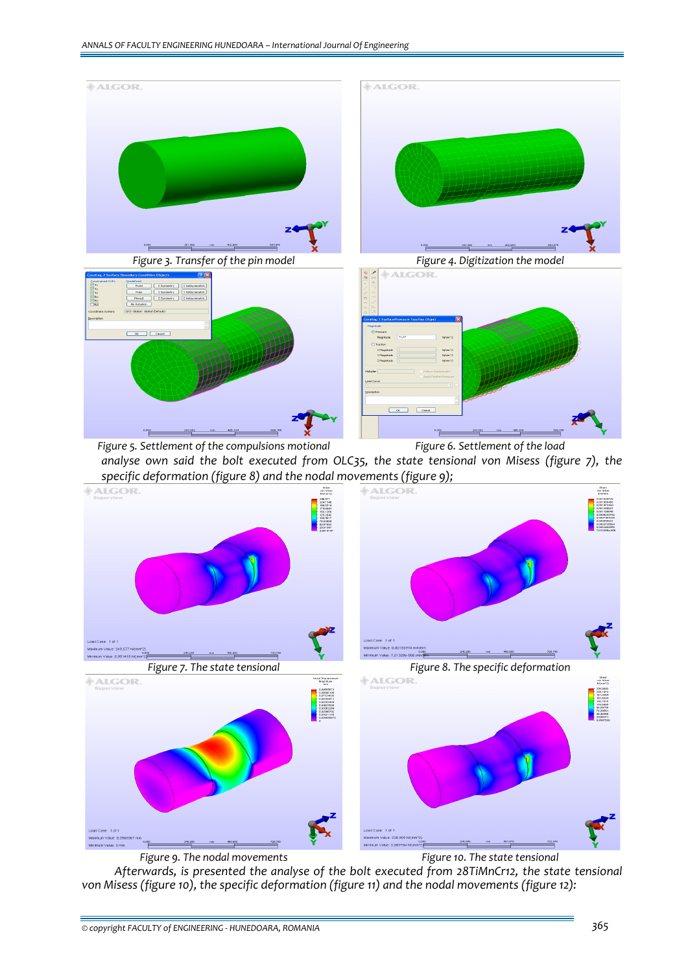

**ALGOR** dal Displacer<br>Magnitude<br>mm



*Figure 9. The nodal movements Figure 10. The state tensional*

*Afterwards, is presented the analyse of the bolt executed from 28TiMnCr12, the state tensional von Misess (figure 10), the specific deformation (figure 11) and the nodal movements (figure 12):*